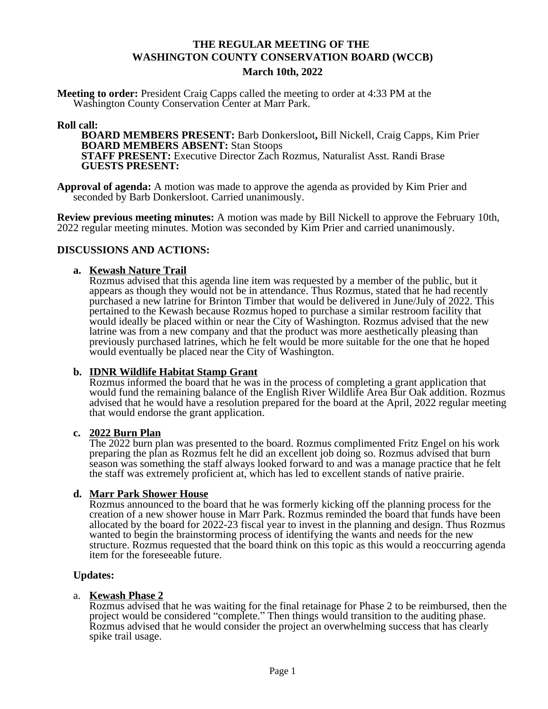## **THE REGULAR MEETING OF THE WASHINGTON COUNTY CONSERVATION BOARD (WCCB) March 10th, 2022**

**Meeting to order:** President Craig Capps called the meeting to order at 4:33 PM at the Washington County Conservation Center at Marr Park.

#### **Roll call:**

**BOARD MEMBERS PRESENT:** Barb Donkersloot**,** Bill Nickell, Craig Capps, Kim Prier **BOARD MEMBERS ABSENT:** Stan Stoops **STAFF PRESENT:** Executive Director Zach Rozmus, Naturalist Asst. Randi Brase **GUESTS PRESENT:**

**Approval of agenda:** A motion was made to approve the agenda as provided by Kim Prier and seconded by Barb Donkersloot. Carried unanimously.

**Review previous meeting minutes:** A motion was made by Bill Nickell to approve the February 10th, 2022 regular meeting minutes. Motion was seconded by Kim Prier and carried unanimously.

#### **DISCUSSIONS AND ACTIONS:**

#### **a. Kewash Nature Trail**

Rozmus advised that this agenda line item was requested by a member of the public, but it appears as though they would not be in attendance. Thus Rozmus, stated that he had recently purchased a new latrine for Brinton Timber that would be delivered in June/July of 2022. This pertained to the Kewash because Rozmus hoped to purchase a similar restroom facility that would ideally be placed within or near the City of Washington. Rozmus advised that the new latrine was from a new company and that the product was more aesthetically pleasing than previously purchased latrines, which he felt would be more suitable for the one that he hoped would eventually be placed near the City of Washington.

#### **b. IDNR Wildlife Habitat Stamp Grant**

Rozmus informed the board that he was in the process of completing a grant application that would fund the remaining balance of the English River Wildlife Area Bur Oak addition. Rozmus advised that he would have a resolution prepared for the board at the April, 2022 regular meeting that would endorse the grant application.

#### **c. 2022 Burn Plan**

The 2022 burn plan was presented to the board. Rozmus complimented Fritz Engel on his work preparing the plan as Rozmus felt he did an excellent job doing so. Rozmus advised that burn season was something the staff always looked forward to and was a manage practice that he felt the staff was extremely proficient at, which has led to excellent stands of native prairie.

#### **d. Marr Park Shower House**

Rozmus announced to the board that he was formerly kicking off the planning process for the creation of a new shower house in Marr Park. Rozmus reminded the board that funds have been allocated by the board for 2022-23 fiscal year to invest in the planning and design. Thus Rozmus wanted to begin the brainstorming process of identifying the wants and needs for the new structure. Rozmus requested that the board think on this topic as this would a reoccurring agenda item for the foreseeable future.

#### **Updates:**

#### a. **Kewash Phase 2**

Rozmus advised that he was waiting for the final retainage for Phase 2 to be reimbursed, then the project would be considered "complete." Then things would transition to the auditing phase. Rozmus advised that he would consider the project an overwhelming success that has clearly spike trail usage.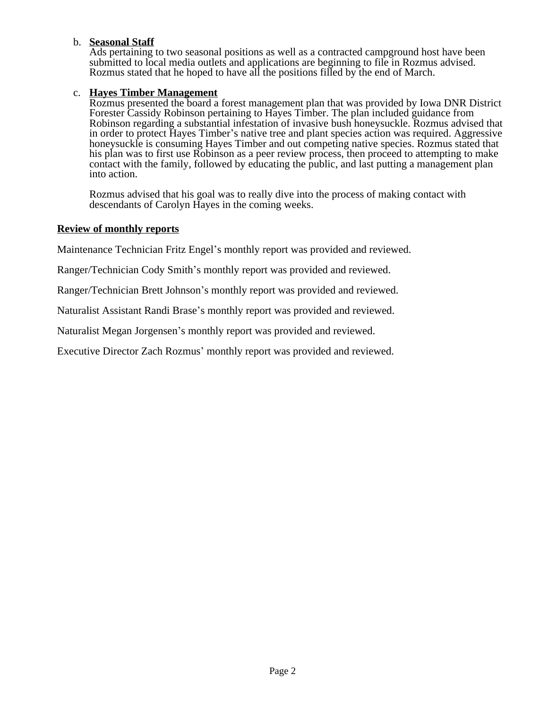## b. **Seasonal Staff**

Ads pertaining to two seasonal positions as well as a contracted campground host have been submitted to local media outlets and applications are beginning to file in Rozmus advised. Rozmus stated that he hoped to have all the positions filled by the end of March.

### c. **Hayes Timber Management**

Rozmus presented the board a forest management plan that was provided by Iowa DNR District Forester Cassidy Robinson pertaining to Hayes Timber. The plan included guidance from Robinson regarding a substantial infestation of invasive bush honeysuckle. Rozmus advised that in order to protect Hayes Timber's native tree and plant species action was required. Aggressive honeysuckle is consuming Hayes Timber and out competing native species. Rozmus stated that his plan was to first use Robinson as a peer review process, then proceed to attempting to make contact with the family, followed by educating the public, and last putting a management plan into action.

Rozmus advised that his goal was to really dive into the process of making contact with descendants of Carolyn Hayes in the coming weeks.

#### **Review of monthly reports**

Maintenance Technician Fritz Engel's monthly report was provided and reviewed.

Ranger/Technician Cody Smith's monthly report was provided and reviewed.

Ranger/Technician Brett Johnson's monthly report was provided and reviewed.

Naturalist Assistant Randi Brase's monthly report was provided and reviewed.

Naturalist Megan Jorgensen's monthly report was provided and reviewed.

Executive Director Zach Rozmus' monthly report was provided and reviewed.